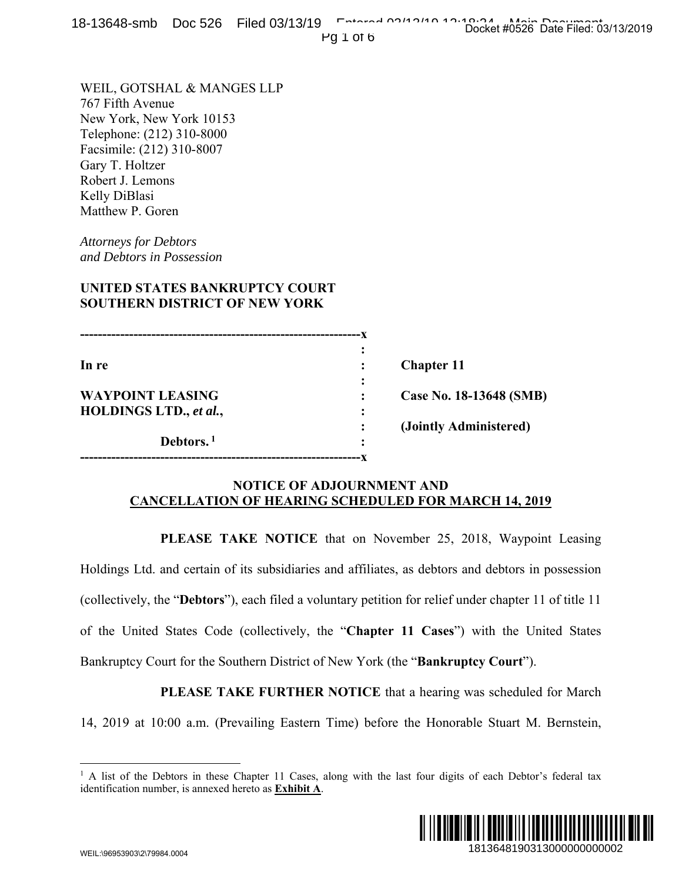18-13648-smb Doc 526 Filed 03/13/19 Entered 03/13/19 Docket #0526 Date Filed: 03/13/2019

Pg 1 of 6

**---------------------------------------------------------------x**   $\mathbf{r} = \mathbf{r} \cdot \mathbf{r}$  :  $\mathbf{r} = \mathbf{r} \cdot \mathbf{r}$  ,  $\mathbf{r} = \mathbf{r} \cdot \mathbf{r}$  ,  $\mathbf{r} = \mathbf{r} \cdot \mathbf{r}$  ,  $\mathbf{r} = \mathbf{r} \cdot \mathbf{r}$  ,  $\mathbf{r} = \mathbf{r} \cdot \mathbf{r}$  ,  $\mathbf{r} = \mathbf{r} \cdot \mathbf{r}$  ,  $\mathbf{r} = \mathbf{r} \cdot \mathbf{r}$  ,  $\mathbf{r} = \mathbf{r$ In re **in the set of the contract of the contract of the Chapter 11 <b>c** Chapter 11 *x*  $\mathbf{r}$   $\mathbf{r}$   $\mathbf{r}$   $\mathbf{r}$   $\mathbf{r}$   $\mathbf{r}$   $\mathbf{r}$   $\mathbf{r}$   $\mathbf{r}$   $\mathbf{r}$   $\mathbf{r}$   $\mathbf{r}$   $\mathbf{r}$   $\mathbf{r}$   $\mathbf{r}$   $\mathbf{r}$   $\mathbf{r}$   $\mathbf{r}$   $\mathbf{r}$   $\mathbf{r}$   $\mathbf{r}$   $\mathbf{r}$   $\mathbf{r}$   $\mathbf{r}$  **WAYPOINT LEASING : Case No. 18-13648 (SMB) HOLDINGS LTD.,** *et al.***, :** 

WEIL, GOTSHAL & MANGES LLP

**UNITED STATES BANKRUPTCY COURT SOUTHERN DISTRICT OF NEW YORK** 

Debtors.<sup>1</sup>

**---------------------------------------------------------------x** 

New York, New York 10153 Telephone: (212) 310-8000 Facsimile: (212) 310-8007

767 Fifth Avenue

Gary T. Holtzer Robert J. Lemons Kelly DiBlasi Matthew P. Goren

*Attorneys for Debtors and Debtors in Possession* 

 **: (Jointly Administered)** 

## **NOTICE OF ADJOURNMENT AND CANCELLATION OF HEARING SCHEDULED FOR MARCH 14, 2019**

 **PLEASE TAKE NOTICE** that on November 25, 2018, Waypoint Leasing

Holdings Ltd. and certain of its subsidiaries and affiliates, as debtors and debtors in possession (collectively, the "**Debtors**"), each filed a voluntary petition for relief under chapter 11 of title 11 of the United States Code (collectively, the "**Chapter 11 Cases**") with the United States Bankruptcy Court for the Southern District of New York (the "**Bankruptcy Court**"). 18148 (SMB)<br>
1813648 (SMB)<br>
2018, Waypoint Leasing<br>
2018, Waypoint Leasing<br>
2018, Waypoint Leasing<br>
2018, Waypoint Leasing<br>
2018, Waypoint Leasing<br>
2018<br>
2018<br>
2018<br>
2018<br>
2018<br>
2018<br>
2018<br>
2018<br>
2018<br>
2020<br>
2020<br>
2020<br>
2

**PLEASE TAKE FURTHER NOTICE** that a hearing was scheduled for March

14, 2019 at 10:00 a.m. (Prevailing Eastern Time) before the Honorable Stuart M. Bernstein,

<sup>&</sup>lt;sup>1</sup> A list of the Debtors in these Chapter 11 Cases, along with the last four digits of each Debtor's federal tax identification number, is annexed hereto as **Exhibit A**.



 $\overline{a}$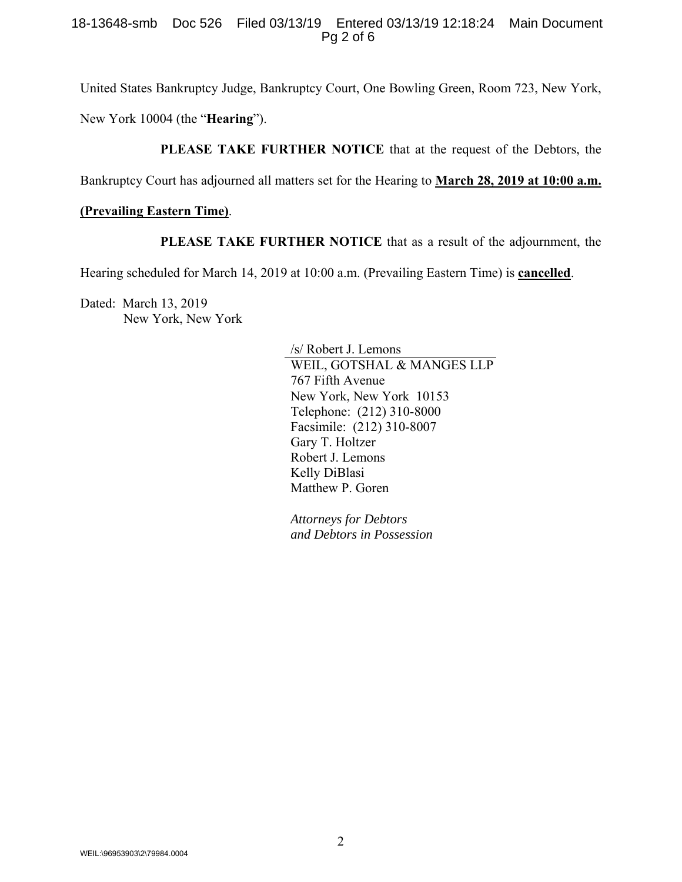#### 18-13648-smb Doc 526 Filed 03/13/19 Entered 03/13/19 12:18:24 Main Document Pg 2 of 6

United States Bankruptcy Judge, Bankruptcy Court, One Bowling Green, Room 723, New York, New York 10004 (the "**Hearing**").

**PLEASE TAKE FURTHER NOTICE** that at the request of the Debtors, the

Bankruptcy Court has adjourned all matters set for the Hearing to **March 28, 2019 at 10:00 a.m.** 

### **(Prevailing Eastern Time)**.

**PLEASE TAKE FURTHER NOTICE** that as a result of the adjournment, the

Hearing scheduled for March 14, 2019 at 10:00 a.m. (Prevailing Eastern Time) is **cancelled**.

Dated: March 13, 2019 New York, New York

> /s/ Robert J. Lemons WEIL, GOTSHAL & MANGES LLP 767 Fifth Avenue New York, New York 10153 Telephone: (212) 310-8000 Facsimile: (212) 310-8007 Gary T. Holtzer Robert J. Lemons Kelly DiBlasi Matthew P. Goren

*Attorneys for Debtors and Debtors in Possession*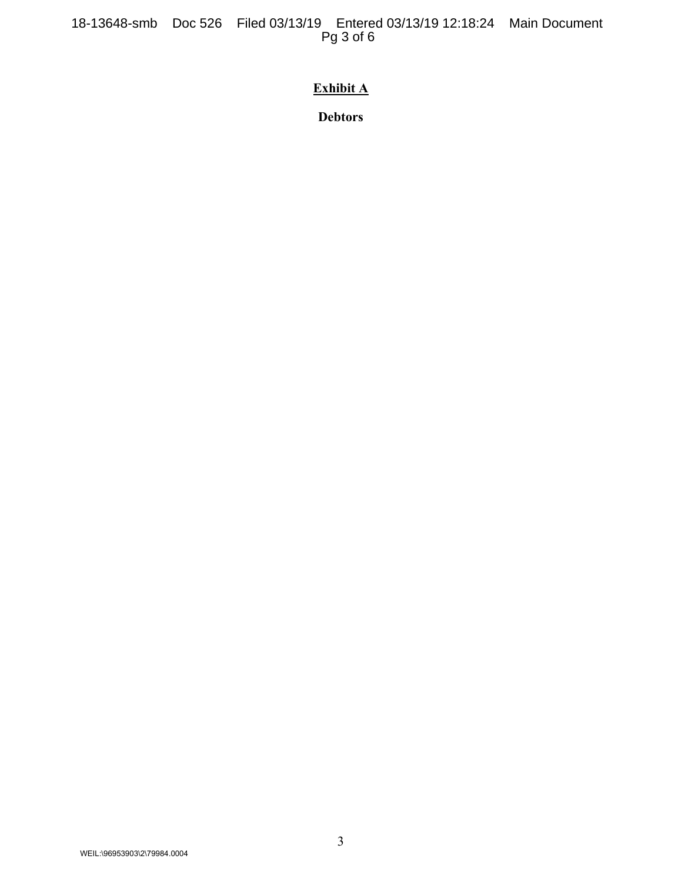18-13648-smb Doc 526 Filed 03/13/19 Entered 03/13/19 12:18:24 Main Document Pg 3 of 6

# **Exhibit A**

**Debtors**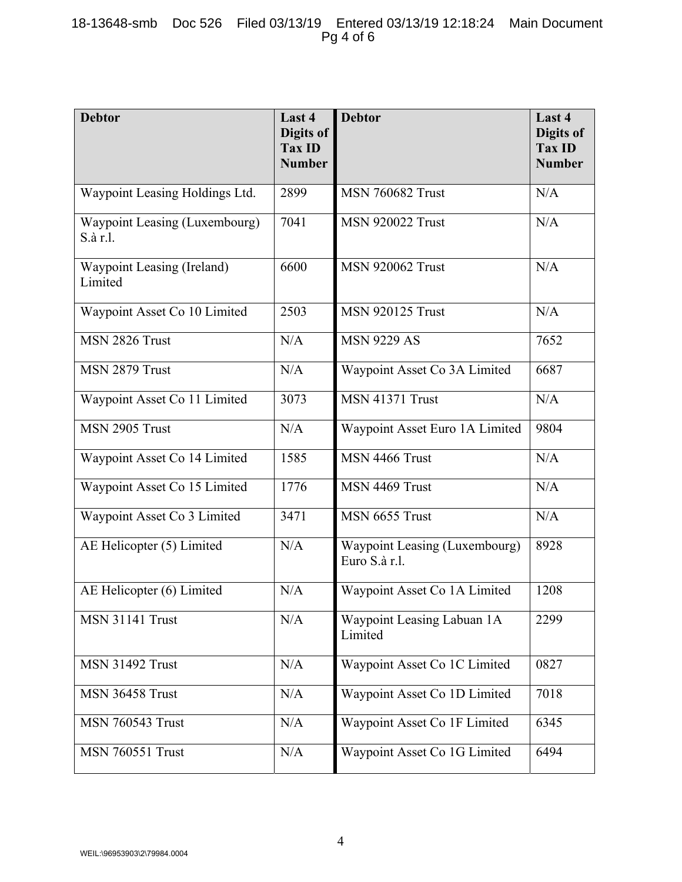| <b>Debtor</b>                             | Last 4<br>Digits of<br><b>Tax ID</b><br><b>Number</b> | <b>Debtor</b>                                         | Last 4<br>Digits of<br><b>Tax ID</b><br><b>Number</b> |
|-------------------------------------------|-------------------------------------------------------|-------------------------------------------------------|-------------------------------------------------------|
| Waypoint Leasing Holdings Ltd.            | 2899                                                  | <b>MSN 760682 Trust</b>                               | N/A                                                   |
| Waypoint Leasing (Luxembourg)<br>S.à r.l. | 7041                                                  | <b>MSN 920022 Trust</b>                               | N/A                                                   |
| Waypoint Leasing (Ireland)<br>Limited     | 6600                                                  | <b>MSN 920062 Trust</b>                               | N/A                                                   |
| Waypoint Asset Co 10 Limited              | 2503                                                  | <b>MSN 920125 Trust</b>                               | N/A                                                   |
| MSN 2826 Trust                            | N/A                                                   | <b>MSN 9229 AS</b>                                    | 7652                                                  |
| MSN 2879 Trust                            | N/A                                                   | Waypoint Asset Co 3A Limited                          | 6687                                                  |
| Waypoint Asset Co 11 Limited              | 3073                                                  | <b>MSN 41371 Trust</b>                                | N/A                                                   |
| MSN 2905 Trust                            | N/A                                                   | Waypoint Asset Euro 1A Limited                        | 9804                                                  |
| Waypoint Asset Co 14 Limited              | 1585                                                  | MSN 4466 Trust                                        | N/A                                                   |
| Waypoint Asset Co 15 Limited              | 1776                                                  | MSN 4469 Trust                                        | N/A                                                   |
| Waypoint Asset Co 3 Limited               | 3471                                                  | MSN 6655 Trust                                        | N/A                                                   |
| AE Helicopter (5) Limited                 | N/A                                                   | <b>Waypoint Leasing (Luxembourg)</b><br>Euro S.à r.l. | 8928                                                  |
| AE Helicopter (6) Limited                 | N/A                                                   | Waypoint Asset Co 1A Limited                          | 1208                                                  |
| <b>MSN 31141 Trust</b>                    | N/A                                                   | Waypoint Leasing Labuan 1A<br>Limited                 | 2299                                                  |
| <b>MSN 31492 Trust</b>                    | N/A                                                   | Waypoint Asset Co 1C Limited                          | 0827                                                  |
| MSN 36458 Trust                           | N/A                                                   | Waypoint Asset Co 1D Limited                          | 7018                                                  |
| <b>MSN 760543 Trust</b>                   | N/A                                                   | Waypoint Asset Co 1F Limited                          | 6345                                                  |
| <b>MSN 760551 Trust</b>                   | N/A                                                   | Waypoint Asset Co 1G Limited                          | 6494                                                  |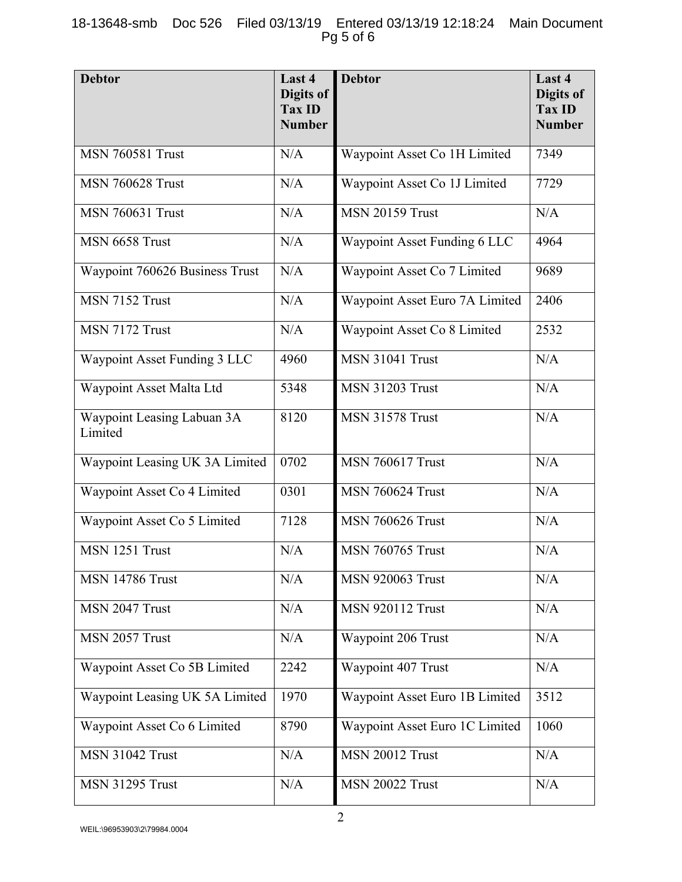## 18-13648-smb Doc 526 Filed 03/13/19 Entered 03/13/19 12:18:24 Main Document Pg 5 of 6

| <b>Debtor</b>                         | Last 4<br>Digits of<br><b>Tax ID</b><br><b>Number</b> | <b>Debtor</b>                  | Last 4<br><b>Digits of</b><br><b>Tax ID</b><br><b>Number</b> |
|---------------------------------------|-------------------------------------------------------|--------------------------------|--------------------------------------------------------------|
| <b>MSN 760581 Trust</b>               | N/A                                                   | Waypoint Asset Co 1H Limited   | 7349                                                         |
| <b>MSN 760628 Trust</b>               | N/A                                                   | Waypoint Asset Co 1J Limited   | 7729                                                         |
| <b>MSN 760631 Trust</b>               | N/A                                                   | <b>MSN 20159 Trust</b>         | N/A                                                          |
| MSN 6658 Trust                        | N/A                                                   | Waypoint Asset Funding 6 LLC   | 4964                                                         |
| Waypoint 760626 Business Trust        | N/A                                                   | Waypoint Asset Co 7 Limited    | 9689                                                         |
| MSN 7152 Trust                        | N/A                                                   | Waypoint Asset Euro 7A Limited | 2406                                                         |
| MSN 7172 Trust                        | N/A                                                   | Waypoint Asset Co 8 Limited    | 2532                                                         |
| Waypoint Asset Funding 3 LLC          | 4960                                                  | <b>MSN 31041 Trust</b>         | N/A                                                          |
| Waypoint Asset Malta Ltd              | 5348                                                  | <b>MSN 31203 Trust</b>         | N/A                                                          |
| Waypoint Leasing Labuan 3A<br>Limited | 8120                                                  | <b>MSN 31578 Trust</b>         | N/A                                                          |
| Waypoint Leasing UK 3A Limited        | 0702                                                  | <b>MSN 760617 Trust</b>        | N/A                                                          |
| Waypoint Asset Co 4 Limited           | 0301                                                  | <b>MSN 760624 Trust</b>        | N/A                                                          |
| Waypoint Asset Co 5 Limited           | 7128                                                  | <b>MSN 760626 Trust</b>        | N/A                                                          |
| MSN 1251 Trust                        | N/A                                                   | <b>MSN 760765 Trust</b>        | N/A                                                          |
| <b>MSN 14786 Trust</b>                | N/A                                                   | <b>MSN 920063 Trust</b>        | N/A                                                          |
| MSN 2047 Trust                        | N/A                                                   | <b>MSN 920112 Trust</b>        | N/A                                                          |
| MSN 2057 Trust                        | N/A                                                   | Waypoint 206 Trust             | N/A                                                          |
| Waypoint Asset Co 5B Limited          | 2242                                                  | Waypoint 407 Trust             | N/A                                                          |
| Waypoint Leasing UK 5A Limited        | 1970                                                  | Waypoint Asset Euro 1B Limited | 3512                                                         |
| Waypoint Asset Co 6 Limited           | 8790                                                  | Waypoint Asset Euro 1C Limited | 1060                                                         |
| <b>MSN 31042 Trust</b>                | N/A                                                   | <b>MSN 20012 Trust</b>         | N/A                                                          |
| <b>MSN 31295 Trust</b>                | N/A                                                   | <b>MSN 20022 Trust</b>         | N/A                                                          |